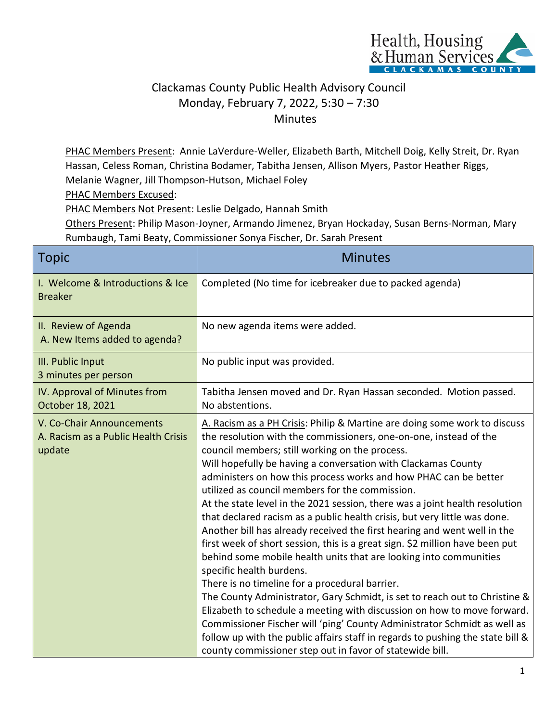

## Clackamas County Public Health Advisory Council Monday, February 7, 2022, 5:30 – 7:30 Minutes

PHAC Members Present: Annie LaVerdure-Weller, Elizabeth Barth, Mitchell Doig, Kelly Streit, Dr. Ryan Hassan, Celess Roman, Christina Bodamer, Tabitha Jensen, Allison Myers, Pastor Heather Riggs, Melanie Wagner, Jill Thompson-Hutson, Michael Foley

PHAC Members Excused:

PHAC Members Not Present: Leslie Delgado, Hannah Smith

Others Present: Philip Mason-Joyner, Armando Jimenez, Bryan Hockaday, Susan Berns-Norman, Mary Rumbaugh, Tami Beaty, Commissioner Sonya Fischer, Dr. Sarah Present

| <b>Topic</b>                                                               | <b>Minutes</b>                                                                                                                                                                                                                                                                                                                                                                                                                                                                                                                                                                                                                                                                                                                                                                                                                                                                                                                                                                                                                                                                                                                                                                                                                                         |
|----------------------------------------------------------------------------|--------------------------------------------------------------------------------------------------------------------------------------------------------------------------------------------------------------------------------------------------------------------------------------------------------------------------------------------------------------------------------------------------------------------------------------------------------------------------------------------------------------------------------------------------------------------------------------------------------------------------------------------------------------------------------------------------------------------------------------------------------------------------------------------------------------------------------------------------------------------------------------------------------------------------------------------------------------------------------------------------------------------------------------------------------------------------------------------------------------------------------------------------------------------------------------------------------------------------------------------------------|
| I. Welcome & Introductions & Ice<br><b>Breaker</b>                         | Completed (No time for icebreaker due to packed agenda)                                                                                                                                                                                                                                                                                                                                                                                                                                                                                                                                                                                                                                                                                                                                                                                                                                                                                                                                                                                                                                                                                                                                                                                                |
| II. Review of Agenda<br>A. New Items added to agenda?                      | No new agenda items were added.                                                                                                                                                                                                                                                                                                                                                                                                                                                                                                                                                                                                                                                                                                                                                                                                                                                                                                                                                                                                                                                                                                                                                                                                                        |
| III. Public Input<br>3 minutes per person                                  | No public input was provided.                                                                                                                                                                                                                                                                                                                                                                                                                                                                                                                                                                                                                                                                                                                                                                                                                                                                                                                                                                                                                                                                                                                                                                                                                          |
| IV. Approval of Minutes from<br>October 18, 2021                           | Tabitha Jensen moved and Dr. Ryan Hassan seconded. Motion passed.<br>No abstentions.                                                                                                                                                                                                                                                                                                                                                                                                                                                                                                                                                                                                                                                                                                                                                                                                                                                                                                                                                                                                                                                                                                                                                                   |
| V. Co-Chair Announcements<br>A. Racism as a Public Health Crisis<br>update | A. Racism as a PH Crisis: Philip & Martine are doing some work to discuss<br>the resolution with the commissioners, one-on-one, instead of the<br>council members; still working on the process.<br>Will hopefully be having a conversation with Clackamas County<br>administers on how this process works and how PHAC can be better<br>utilized as council members for the commission.<br>At the state level in the 2021 session, there was a joint health resolution<br>that declared racism as a public health crisis, but very little was done.<br>Another bill has already received the first hearing and went well in the<br>first week of short session, this is a great sign. \$2 million have been put<br>behind some mobile health units that are looking into communities<br>specific health burdens.<br>There is no timeline for a procedural barrier.<br>The County Administrator, Gary Schmidt, is set to reach out to Christine &<br>Elizabeth to schedule a meeting with discussion on how to move forward.<br>Commissioner Fischer will 'ping' County Administrator Schmidt as well as<br>follow up with the public affairs staff in regards to pushing the state bill &<br>county commissioner step out in favor of statewide bill. |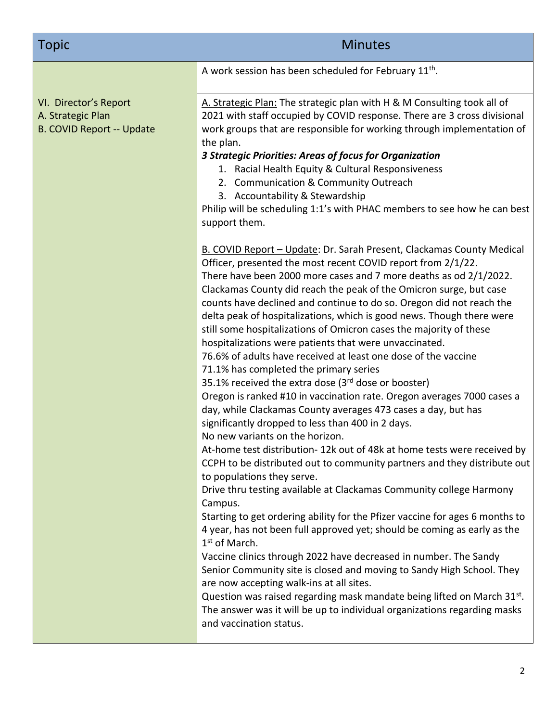| <b>Topic</b>                                                                   | <b>Minutes</b>                                                                                                                                                                                                                                                                                                                                                                                                                                                                                                                                                                                                                                                                                                                                                                                                                                                                                                                                                                                                                                                                                                                                                        |
|--------------------------------------------------------------------------------|-----------------------------------------------------------------------------------------------------------------------------------------------------------------------------------------------------------------------------------------------------------------------------------------------------------------------------------------------------------------------------------------------------------------------------------------------------------------------------------------------------------------------------------------------------------------------------------------------------------------------------------------------------------------------------------------------------------------------------------------------------------------------------------------------------------------------------------------------------------------------------------------------------------------------------------------------------------------------------------------------------------------------------------------------------------------------------------------------------------------------------------------------------------------------|
|                                                                                | A work session has been scheduled for February 11 <sup>th</sup> .                                                                                                                                                                                                                                                                                                                                                                                                                                                                                                                                                                                                                                                                                                                                                                                                                                                                                                                                                                                                                                                                                                     |
| VI. Director's Report<br>A. Strategic Plan<br><b>B. COVID Report -- Update</b> | A. Strategic Plan: The strategic plan with H & M Consulting took all of<br>2021 with staff occupied by COVID response. There are 3 cross divisional<br>work groups that are responsible for working through implementation of<br>the plan.<br>3 Strategic Priorities: Areas of focus for Organization<br>1. Racial Health Equity & Cultural Responsiveness<br>2. Communication & Community Outreach<br>3. Accountability & Stewardship<br>Philip will be scheduling 1:1's with PHAC members to see how he can best<br>support them.<br>B. COVID Report - Update: Dr. Sarah Present, Clackamas County Medical                                                                                                                                                                                                                                                                                                                                                                                                                                                                                                                                                          |
|                                                                                | Officer, presented the most recent COVID report from 2/1/22.<br>There have been 2000 more cases and 7 more deaths as od 2/1/2022.<br>Clackamas County did reach the peak of the Omicron surge, but case<br>counts have declined and continue to do so. Oregon did not reach the<br>delta peak of hospitalizations, which is good news. Though there were<br>still some hospitalizations of Omicron cases the majority of these<br>hospitalizations were patients that were unvaccinated.<br>76.6% of adults have received at least one dose of the vaccine<br>71.1% has completed the primary series<br>35.1% received the extra dose (3rd dose or booster)<br>Oregon is ranked #10 in vaccination rate. Oregon averages 7000 cases a<br>day, while Clackamas County averages 473 cases a day, but has<br>significantly dropped to less than 400 in 2 days.<br>No new variants on the horizon.<br>At-home test distribution-12k out of 48k at home tests were received by<br>CCPH to be distributed out to community partners and they distribute out<br>to populations they serve.<br>Drive thru testing available at Clackamas Community college Harmony<br>Campus. |
|                                                                                | Starting to get ordering ability for the Pfizer vaccine for ages 6 months to<br>4 year, has not been full approved yet; should be coming as early as the<br>1 <sup>st</sup> of March.<br>Vaccine clinics through 2022 have decreased in number. The Sandy<br>Senior Community site is closed and moving to Sandy High School. They<br>are now accepting walk-ins at all sites.<br>Question was raised regarding mask mandate being lifted on March 31st.<br>The answer was it will be up to individual organizations regarding masks<br>and vaccination status.                                                                                                                                                                                                                                                                                                                                                                                                                                                                                                                                                                                                       |